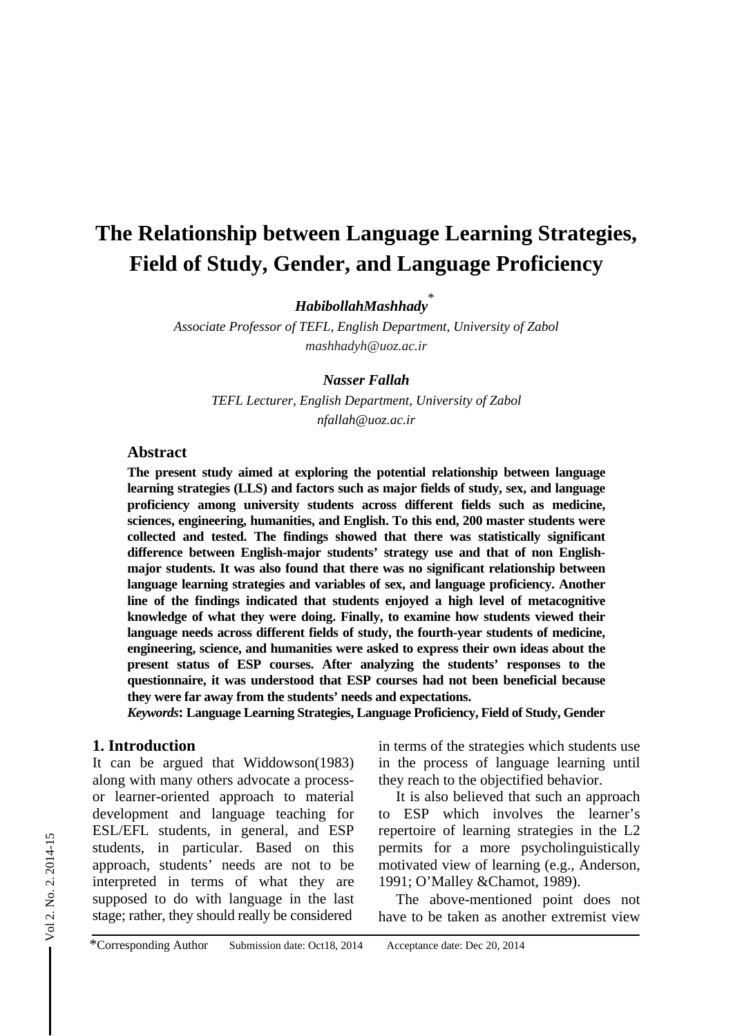# **The Relationship between Language Learning Strategies, Field of Study, Gender, and Language Proficiency**

*HabibollahMashhady*\*

*Associate Professor of TEFL, English Department, University of Zabol mashhadyh@uoz.ac.ir*

#### *Nasser Fallah*

*TEFL Lecturer, English Department, University of Zabol nfallah@uoz.ac.ir*

#### **Abstract**

**The present study aimed at exploring the potential relationship between language learning strategies (LLS) and factors such as major fields of study, sex, and language proficiency among university students across different fields such as medicine, sciences, engineering, humanities, and English. To this end, 200 master students were collected and tested. The findings showed that there was statistically significant difference between English-major students' strategy use and that of non Englishmajor students. It was also found that there was no significant relationship between language learning strategies and variables of sex, and language proficiency. Another line of the findings indicated that students enjoyed a high level of metacognitive knowledge of what they were doing. Finally, to examine how students viewed their language needs across different fields of study, the fourth-year students of medicine, engineering, science, and humanities were asked to express their own ideas about the present status of ESP courses. After analyzing the students' responses to the questionnaire, it was understood that ESP courses had not been beneficial because they were far away from the students' needs and expectations.** 

*Keywords***: Language Learning Strategies, Language Proficiency, Field of Study, Gender** 

#### **1. Introduction**

It can be argued that Widdowson(1983) along with many others advocate a processor learner-oriented approach to material development and language teaching for ESL/EFL students, in general, and ESP students, in particular. Based on this approach, students' needs are not to be interpreted in terms of what they are supposed to do with language in the last stage; rather, they should really be considered

in terms of the strategies which students use in the process of language learning until they reach to the objectified behavior.

It is also believed that such an approach to ESP which involves the learner's repertoire of learning strategies in the L2 permits for a more psycholinguistically motivated view of learning (e.g., Anderson, 1991; O'Malley &Chamot, 1989).

The above-mentioned point does not have to be taken as another extremist view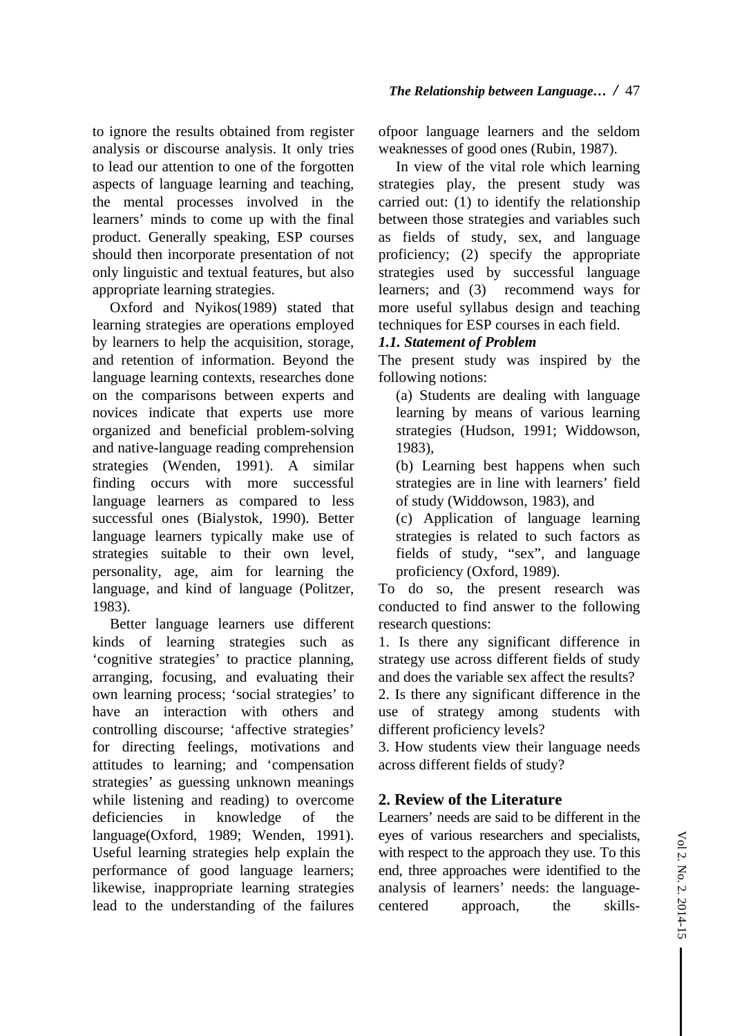to ignore the results obtained from register analysis or discourse analysis. It only tries to lead our attention to one of the forgotten aspects of language learning and teaching, the mental processes involved in the learners' minds to come up with the final product. Generally speaking, ESP courses

should then incorporate presentation of not only linguistic and textual features, but also appropriate learning strategies.

Oxford and Nyikos(1989) stated that learning strategies are operations employed by learners to help the acquisition, storage, and retention of information. Beyond the language learning contexts, researches done on the comparisons between experts and novices indicate that experts use more organized and beneficial problem-solving and native-language reading comprehension strategies (Wenden, 1991). A similar finding occurs with more successful language learners as compared to less successful ones (Bialystok, 1990). Better language learners typically make use of strategies suitable to their own level, personality, age, aim for learning the language, and kind of language (Politzer, 1983).

Better language learners use different kinds of learning strategies such as 'cognitive strategies' to practice planning, arranging, focusing, and evaluating their own learning process; 'social strategies' to have an interaction with others and controlling discourse; 'affective strategies' for directing feelings, motivations and attitudes to learning; and 'compensation strategies' as guessing unknown meanings while listening and reading) to overcome deficiencies in knowledge of the language(Oxford, 1989; Wenden, 1991). Useful learning strategies help explain the performance of good language learners; likewise, inappropriate learning strategies lead to the understanding of the failures

ofpoor language learners and the seldom weaknesses of good ones (Rubin, 1987).

In view of the vital role which learning strategies play, the present study was carried out: (1) to identify the relationship between those strategies and variables such as fields of study, sex, and language proficiency; (2) specify the appropriate strategies used by successful language learners; and (3) recommend ways for more useful syllabus design and teaching techniques for ESP courses in each field.

## *1.1. Statement of Problem*

The present study was inspired by the following notions:

(a) Students are dealing with language learning by means of various learning strategies (Hudson, 1991; Widdowson, 1983),

(b) Learning best happens when such strategies are in line with learners' field of study (Widdowson, 1983), and

(c) Application of language learning strategies is related to such factors as fields of study, "sex", and language proficiency (Oxford, 1989).

To do so, the present research was conducted to find answer to the following research questions:

1. Is there any significant difference in strategy use across different fields of study and does the variable sex affect the results?

2. Is there any significant difference in the use of strategy among students with different proficiency levels?

3. How students view their language needs across different fields of study?

## **2. Review of the Literature**

Learners' needs are said to be different in the eyes of various researchers and specialists, with respect to the approach they use. To this end, three approaches were identified to the analysis of learners' needs: the languagecentered approach, the skills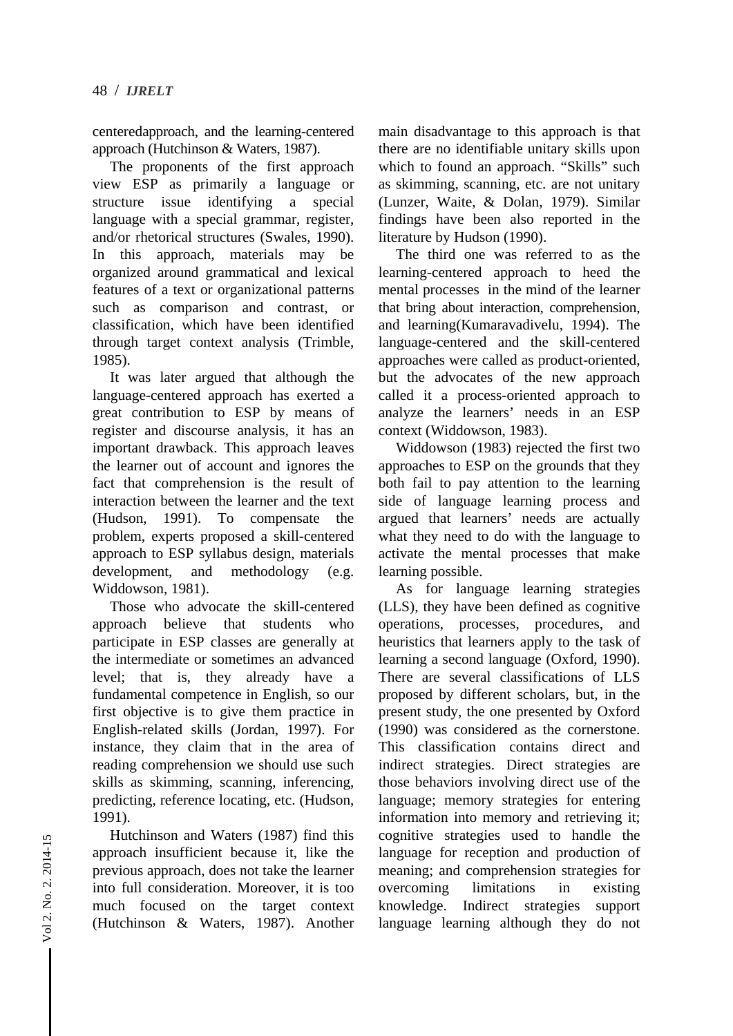centeredapproach, and the learning-centered approach (Hutchinson & Waters, 1987).

The proponents of the first approach view ESP as primarily a language or structure issue identifying a special language with a special grammar, register, and/or rhetorical structures (Swales, 1990). In this approach, materials may be organized around grammatical and lexical features of a text or organizational patterns such as comparison and contrast, or classification, which have been identified through target context analysis (Trimble, 1985).

It was later argued that although the language-centered approach has exerted a great contribution to ESP by means of register and discourse analysis, it has an important drawback. This approach leaves the learner out of account and ignores the fact that comprehension is the result of interaction between the learner and the text (Hudson, 1991). To compensate the problem, experts proposed a skill-centered approach to ESP syllabus design, materials development, and methodology (e.g. Widdowson, 1981).

Those who advocate the skill-centered approach believe that students who participate in ESP classes are generally at the intermediate or sometimes an advanced level; that is, they already have a fundamental competence in English, so our first objective is to give them practice in English-related skills (Jordan, 1997). For instance, they claim that in the area of reading comprehension we should use such skills as skimming, scanning, inferencing, predicting, reference locating, etc. (Hudson, 1991).

Hutchinson and Waters (1987) find this approach insufficient because it, like the previous approach, does not take the learner into full consideration. Moreover, it is too much focused on the target context (Hutchinson & Waters, 1987). Another main disadvantage to this approach is that there are no identifiable unitary skills upon which to found an approach. "Skills" such as skimming, scanning, etc. are not unitary (Lunzer, Waite, & Dolan, 1979). Similar findings have been also reported in the literature by Hudson (1990).

The third one was referred to as the learning-centered approach to heed the mental processes in the mind of the learner that bring about interaction, comprehension, and learning(Kumaravadivelu, 1994). The language-centered and the skill-centered approaches were called as product-oriented, but the advocates of the new approach called it a process-oriented approach to analyze the learners' needs in an ESP context (Widdowson, 1983).

Widdowson (1983) rejected the first two approaches to ESP on the grounds that they both fail to pay attention to the learning side of language learning process and argued that learners' needs are actually what they need to do with the language to activate the mental processes that make learning possible.

As for language learning strategies (LLS), they have been defined as cognitive operations, processes, procedures, and heuristics that learners apply to the task of learning a second language (Oxford, 1990). There are several classifications of LLS proposed by different scholars, but, in the present study, the one presented by Oxford (1990) was considered as the cornerstone. This classification contains direct and indirect strategies. Direct strategies are those behaviors involving direct use of the language; memory strategies for entering information into memory and retrieving it; cognitive strategies used to handle the language for reception and production of meaning; and comprehension strategies for overcoming limitations in existing knowledge. Indirect strategies support language learning although they do not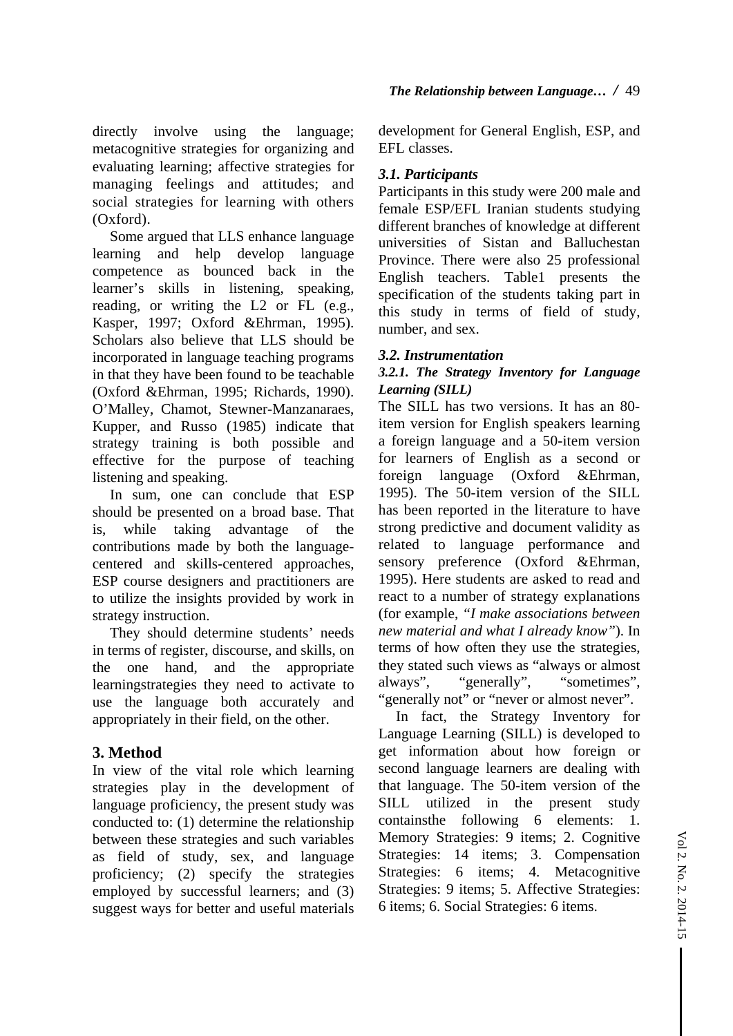directly involve using the language; metacognitive strategies for organizing and evaluating learning; affective strategies for managing feelings and attitudes; and social strategies for learning with others (Oxford).

Some argued that LLS enhance language learning and help develop language competence as bounced back in the learner's skills in listening, speaking, reading, or writing the L2 or FL (e.g., Kasper, 1997; Oxford &Ehrman, 1995). Scholars also believe that LLS should be incorporated in language teaching programs in that they have been found to be teachable (Oxford &Ehrman, 1995; Richards, 1990). O'Malley, Chamot, Stewner-Manzanaraes, Kupper, and Russo (1985) indicate that strategy training is both possible and effective for the purpose of teaching listening and speaking.

In sum, one can conclude that ESP should be presented on a broad base. That is, while taking advantage of the contributions made by both the languagecentered and skills-centered approaches, ESP course designers and practitioners are to utilize the insights provided by work in strategy instruction.

They should determine students' needs in terms of register, discourse, and skills, on the one hand, and the appropriate learningstrategies they need to activate to use the language both accurately and appropriately in their field, on the other.

# **3. Method**

In view of the vital role which learning strategies play in the development of language proficiency, the present study was conducted to: (1) determine the relationship between these strategies and such variables as field of study, sex, and language proficiency; (2) specify the strategies employed by successful learners; and (3) suggest ways for better and useful materials

development for General English, ESP, and EFL classes.

# *3.1. Participants*

Participants in this study were 200 male and female ESP/EFL Iranian students studying different branches of knowledge at different universities of Sistan and Balluchestan Province. There were also 25 professional English teachers. Table1 presents the specification of the students taking part in this study in terms of field of study, number, and sex.

# *3.2. Instrumentation*

# *3.2.1. The Strategy Inventory for Language Learning (SILL)*

The SILL has two versions. It has an 80 item version for English speakers learning a foreign language and a 50-item version for learners of English as a second or foreign language (Oxford &Ehrman, 1995). The 50-item version of the SILL has been reported in the literature to have strong predictive and document validity as related to language performance and sensory preference (Oxford &Ehrman, 1995). Here students are asked to read and react to a number of strategy explanations (for example, *"I make associations between new material and what I already know"*). In terms of how often they use the strategies, they stated such views as "always or almost always", "generally", "sometimes", "generally not" or "never or almost never".

In fact, the Strategy Inventory for Language Learning (SILL) is developed to get information about how foreign or second language learners are dealing with that language. The 50-item version of the SILL utilized in the present study containsthe following 6 elements: 1. Memory Strategies: 9 items; 2. Cognitive Strategies: 14 items; 3. Compensation Strategies: 6 items; 4. Metacognitive Strategies: 9 items; 5. Affective Strategies: 6 items; 6. Social Strategies: 6 items.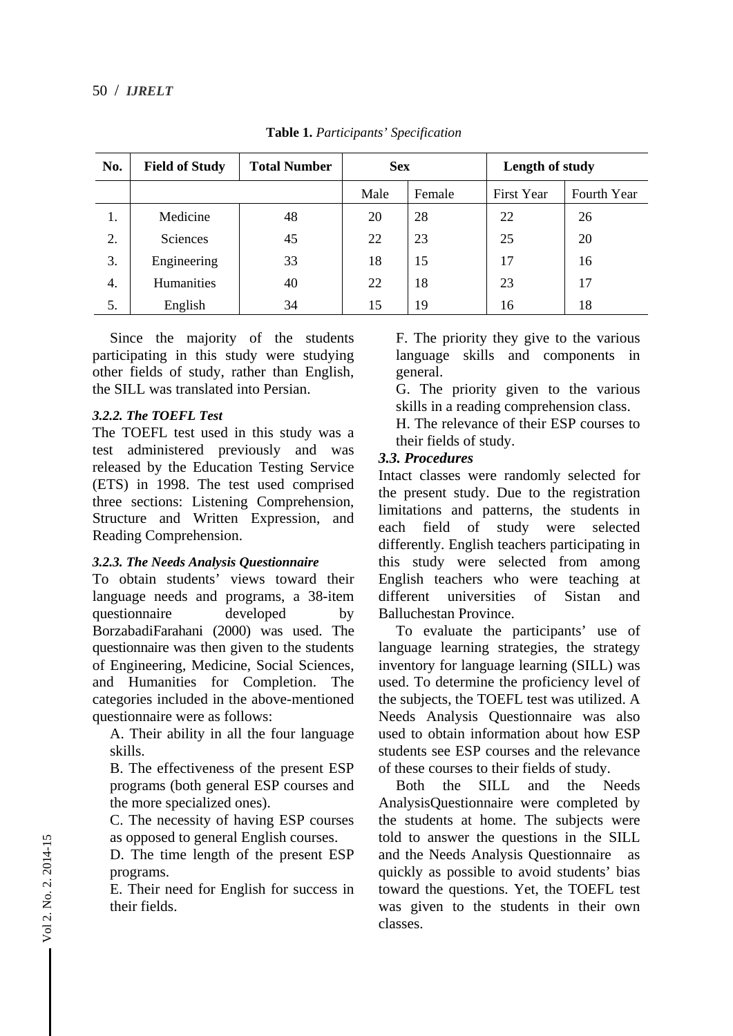| No. | <b>Field of Study</b> | <b>Total Number</b> | <b>Sex</b> |        | Length of study   |             |
|-----|-----------------------|---------------------|------------|--------|-------------------|-------------|
|     |                       |                     | Male       | Female | <b>First Year</b> | Fourth Year |
| 1.  | Medicine              | 48                  | 20         | 28     | 22                | 26          |
| 2.  | <b>Sciences</b>       | 45                  | 22         | 23     | 25                | 20          |
| 3.  | Engineering           | 33                  | 18         | 15     | 17                | 16          |
| 4.  | Humanities            | 40                  | 22         | 18     | 23                | 17          |
| 5.  | English               | 34                  | 15         | 19     | 16                | 18          |

**Table 1.** *Participants' Specification* 

Since the majority of the students participating in this study were studying other fields of study, rather than English, the SILL was translated into Persian.

#### *3.2.2. The TOEFL Test*

The TOEFL test used in this study was a test administered previously and was released by the Education Testing Service (ETS) in 1998. The test used comprised three sections: Listening Comprehension, Structure and Written Expression, and Reading Comprehension.

#### *3.2.3. The Needs Analysis Questionnaire*

To obtain students' views toward their language needs and programs, a 38-item questionnaire developed by BorzabadiFarahani (2000) was used. The questionnaire was then given to the students of Engineering, Medicine, Social Sciences, and Humanities for Completion. The categories included in the above-mentioned questionnaire were as follows:

A. Their ability in all the four language skills.

B. The effectiveness of the present ESP programs (both general ESP courses and the more specialized ones).

C. The necessity of having ESP courses as opposed to general English courses.

D. The time length of the present ESP programs.

E. Their need for English for success in their fields.

F. The priority they give to the various language skills and components in general.

G. The priority given to the various skills in a reading comprehension class.

H. The relevance of their ESP courses to their fields of study.

#### *3.3. Procedures*

Intact classes were randomly selected for the present study. Due to the registration limitations and patterns, the students in each field of study were selected differently. English teachers participating in this study were selected from among English teachers who were teaching at different universities of Sistan and Balluchestan Province.

To evaluate the participants' use of language learning strategies, the strategy inventory for language learning (SILL) was used. To determine the proficiency level of the subjects, the TOEFL test was utilized. A Needs Analysis Questionnaire was also used to obtain information about how ESP students see ESP courses and the relevance of these courses to their fields of study.

Both the SILL and the Needs AnalysisQuestionnaire were completed by the students at home. The subjects were told to answer the questions in the SILL and the Needs Analysis Questionnaire as quickly as possible to avoid students' bias toward the questions. Yet, the TOEFL test was given to the students in their own classes.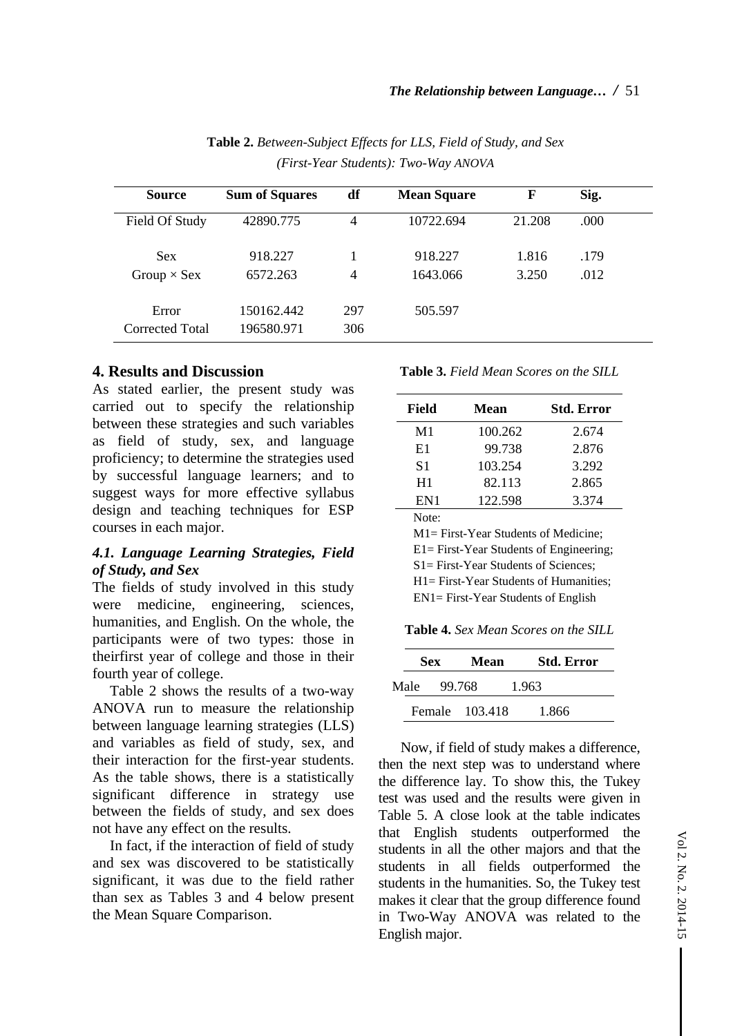| <b>Source</b>                    | <b>Sum of Squares</b>    | df             | <b>Mean Square</b>  | F              | Sig.         |  |
|----------------------------------|--------------------------|----------------|---------------------|----------------|--------------|--|
| Field Of Study                   | 42890.775                | $\overline{4}$ | 10722.694           | 21.208         | .000         |  |
| <b>Sex</b><br>Group $\times$ Sex | 918.227<br>6572.263      | 4              | 918.227<br>1643.066 | 1.816<br>3.250 | .179<br>.012 |  |
| Error<br>Corrected Total         | 150162.442<br>196580.971 | 297<br>306     | 505.597             |                |              |  |

**Table 2.** *Between-Subject Effects for LLS, Field of Study, and Sex (First-Year Students): Two-Way ANOVA*

# **4. Results and Discussion**

As stated earlier, the present study was carried out to specify the relationship between these strategies and such variables as field of study, sex, and language proficiency; to determine the strategies used by successful language learners; and to suggest ways for more effective syllabus design and teaching techniques for ESP courses in each major.

## *4.1. Language Learning Strategies, Field of Study, and Sex*

The fields of study involved in this study were medicine, engineering, sciences, humanities, and English. On the whole, the participants were of two types: those in theirfirst year of college and those in their fourth year of college.

 Table 2 shows the results of a two-way ANOVA run to measure the relationship between language learning strategies (LLS) and variables as field of study, sex, and their interaction for the first-year students. As the table shows, there is a statistically significant difference in strategy use between the fields of study, and sex does not have any effect on the results.

In fact, if the interaction of field of study and sex was discovered to be statistically significant, it was due to the field rather than sex as Tables 3 and 4 below present the Mean Square Comparison.

**Table 3.** *Field Mean Scores on the SILL*

| <b>Field</b> | Mean    | <b>Std. Error</b> |
|--------------|---------|-------------------|
| M1           | 100.262 | 2.674             |
| E1           | 99.738  | 2.876             |
| S1           | 103.254 | 3.292             |
| H1           | 82.113  | 2.865             |
| EN1          | 122.598 | 3.374             |
| Note:        |         |                   |

M1= First-Year Students of Medicine; E1= First-Year Students of Engineering; S1= First-Year Students of Sciences; H1= First-Year Students of Humanities; EN1= First-Year Students of English

**Table 4.** *Sex Mean Scores on the SILL*

| <b>Sex</b> |         | Mean           | <b>Std. Error</b> |
|------------|---------|----------------|-------------------|
| Male       | -99.768 |                | 1.963             |
|            |         | Female 103.418 | 1.866             |

Now, if field of study makes a difference, then the next step was to understand where the difference lay. To show this, the Tukey test was used and the results were given in Table 5. A close look at the table indicates that English students outperformed the students in all the other majors and that the students in all fields outperformed the students in the humanities. So, the Tukey test makes it clear that the group difference found in Two-Way ANOVA was related to the English major.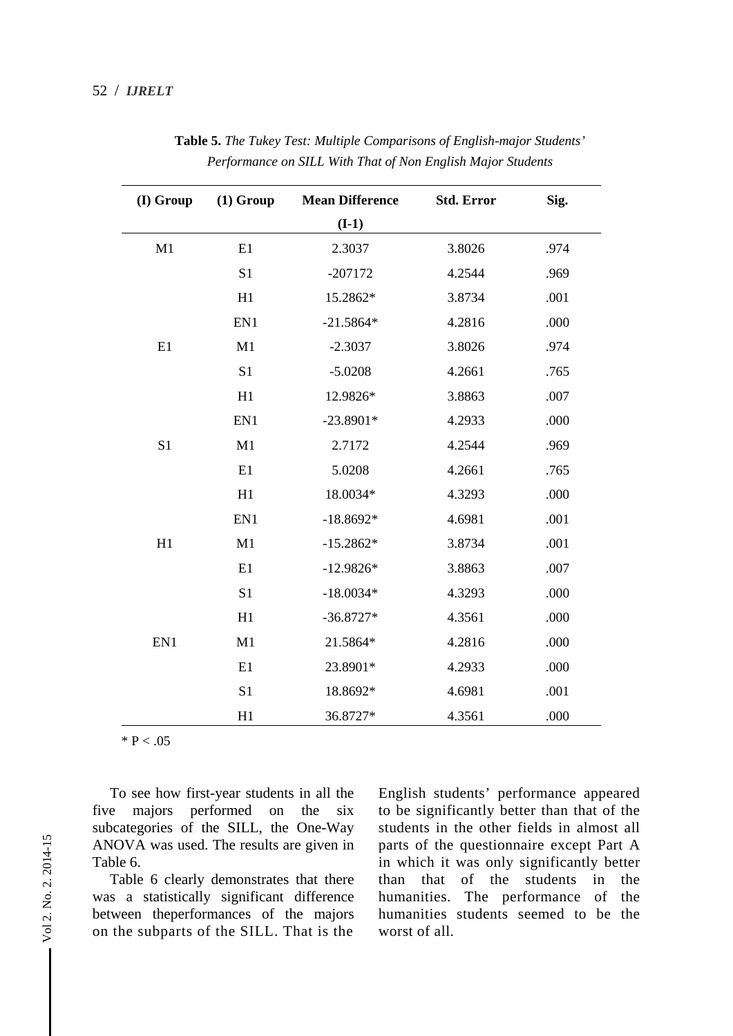| (I) Group      | $(1)$ Group    | <b>Mean Difference</b> | <b>Std. Error</b> | Sig. |
|----------------|----------------|------------------------|-------------------|------|
|                |                | $(I-1)$                |                   |      |
| M1             | E1             | 2.3037                 | 3.8026            | .974 |
|                | S <sub>1</sub> | $-207172$              | 4.2544            | .969 |
|                | H1             | 15.2862*               | 3.8734            | .001 |
|                | EN1            | $-21.5864*$            | 4.2816            | .000 |
| E1             | M1             | $-2.3037$              | 3.8026            | .974 |
|                | S1             | $-5.0208$              | 4.2661            | .765 |
|                | H1             | 12.9826*               | 3.8863            | .007 |
|                | EN1            | $-23.8901*$            | 4.2933            | .000 |
| S <sub>1</sub> | M1             | 2.7172                 | 4.2544            | .969 |
|                | E1             | 5.0208                 | 4.2661            | .765 |
|                | H1             | 18.0034*               | 4.3293            | .000 |
|                | EN1            | $-18.8692*$            | 4.6981            | .001 |
| H1             | M1             | $-15.2862*$            | 3.8734            | .001 |
|                | E1             | $-12.9826*$            | 3.8863            | .007 |
|                | S <sub>1</sub> | $-18.0034*$            | 4.3293            | .000 |
|                | H1             | $-36.8727*$            | 4.3561            | .000 |
| EN1            | M1             | 21.5864*               | 4.2816            | .000 |
|                | E1             | 23.8901*               | 4.2933            | .000 |
|                | S1             | 18.8692*               | 4.6981            | .001 |
|                | H1             | 36.8727*               | 4.3561            | .000 |

**Table 5.** *The Tukey Test: Multiple Comparisons of English-major Students' Performance on SILL With That of Non English Major Students* 

 $*$  P < .05

To see how first-year students in all the five majors performed on the six subcategories of the SILL, the One-Way ANOVA was used. The results are given in Table 6.

Table 6 clearly demonstrates that there was a statistically significant difference between theperformances of the majors on the subparts of the SILL. That is the

English students' performance appeared to be significantly better than that of the students in the other fields in almost all parts of the questionnaire except Part A in which it was only significantly better than that of the students in the humanities. The performance of the humanities students seemed to be the worst of all.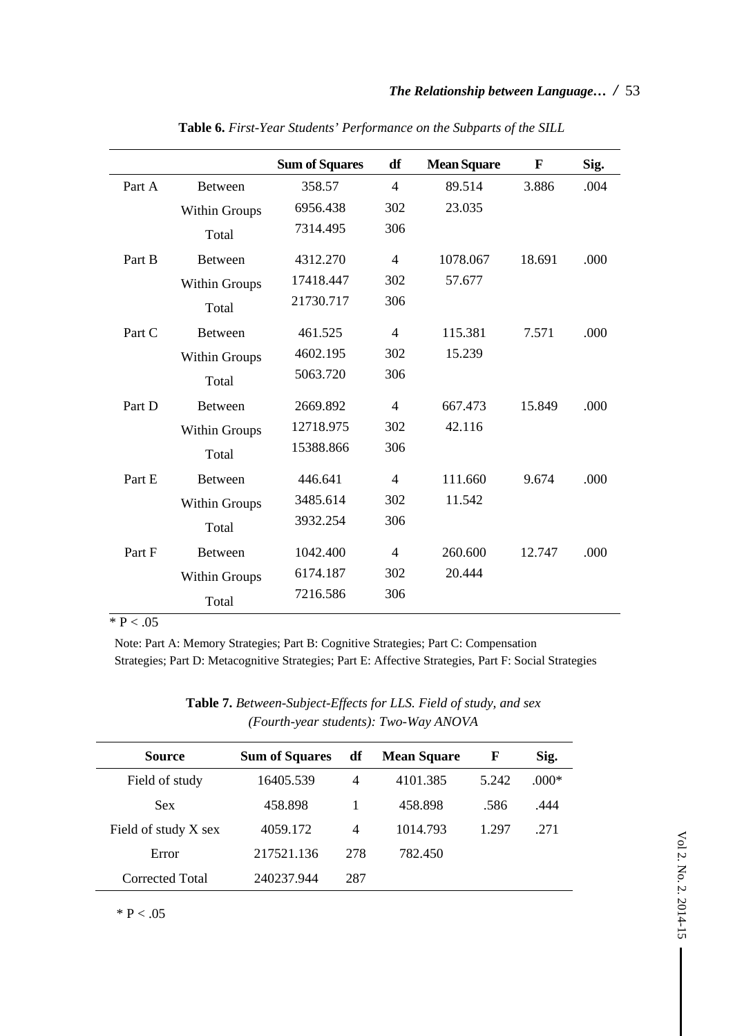|        |                      | <b>Sum of Squares</b> | df             | <b>Mean Square</b> | $\mathbf{F}$ | Sig. |
|--------|----------------------|-----------------------|----------------|--------------------|--------------|------|
| Part A | <b>Between</b>       | 358.57                | $\overline{4}$ | 89.514             | 3.886        | .004 |
|        | <b>Within Groups</b> | 6956.438              | 302            | 23.035             |              |      |
|        | Total                | 7314.495              | 306            |                    |              |      |
| Part B | <b>Between</b>       | 4312.270              | $\overline{4}$ | 1078.067           | 18.691       | .000 |
|        | Within Groups        | 17418.447             | 302            | 57.677             |              |      |
|        | Total                | 21730.717             | 306            |                    |              |      |
| Part C | <b>Between</b>       | 461.525               | $\overline{4}$ | 115.381            | 7.571        | .000 |
|        | <b>Within Groups</b> | 4602.195              | 302            | 15.239             |              |      |
|        | Total                | 5063.720              | 306            |                    |              |      |
| Part D | <b>Between</b>       | 2669.892              | $\overline{4}$ | 667.473            | 15.849       | .000 |
|        | Within Groups        | 12718.975             | 302            | 42.116             |              |      |
|        | Total                | 15388.866             | 306            |                    |              |      |
| Part E | <b>Between</b>       | 446.641               | $\overline{4}$ | 111.660            | 9.674        | .000 |
|        | <b>Within Groups</b> | 3485.614              | 302            | 11.542             |              |      |
|        | Total                | 3932.254              | 306            |                    |              |      |
| Part F | <b>Between</b>       | 1042.400              | $\overline{4}$ | 260.600            | 12.747       | .000 |
|        | <b>Within Groups</b> | 6174.187              | 302            | 20.444             |              |      |
|        | Total                | 7216.586              | 306            |                    |              |      |

**Table 6.** *First-Year Students' Performance on the Subparts of the SILL*

 $* P < .05$ 

Note: Part A: Memory Strategies; Part B: Cognitive Strategies; Part C: Compensation Strategies; Part D: Metacognitive Strategies; Part E: Affective Strategies, Part F: Social Strategies

**Table 7.** *Between-Subject-Effects for LLS. Field of study, and sex (Fourth-year students): Two-Way ANOVA* 

| Source               | <b>Sum of Squares</b> | df             | <b>Mean Square</b> | F     | Sig.    |
|----------------------|-----------------------|----------------|--------------------|-------|---------|
| Field of study       | 16405.539             | $\overline{4}$ | 4101.385           | 5.242 | $.000*$ |
|                      |                       |                |                    |       |         |
| <b>Sex</b>           | 458.898               |                | 458.898            | .586  | .444    |
| Field of study X sex | 4059.172              | $\overline{4}$ | 1014.793           | 1.297 | .271    |
| Error                | 217521.136            | 278            | 782.450            |       |         |
| Corrected Total      | 240237.944            | 287            |                    |       |         |

 $* P < .05$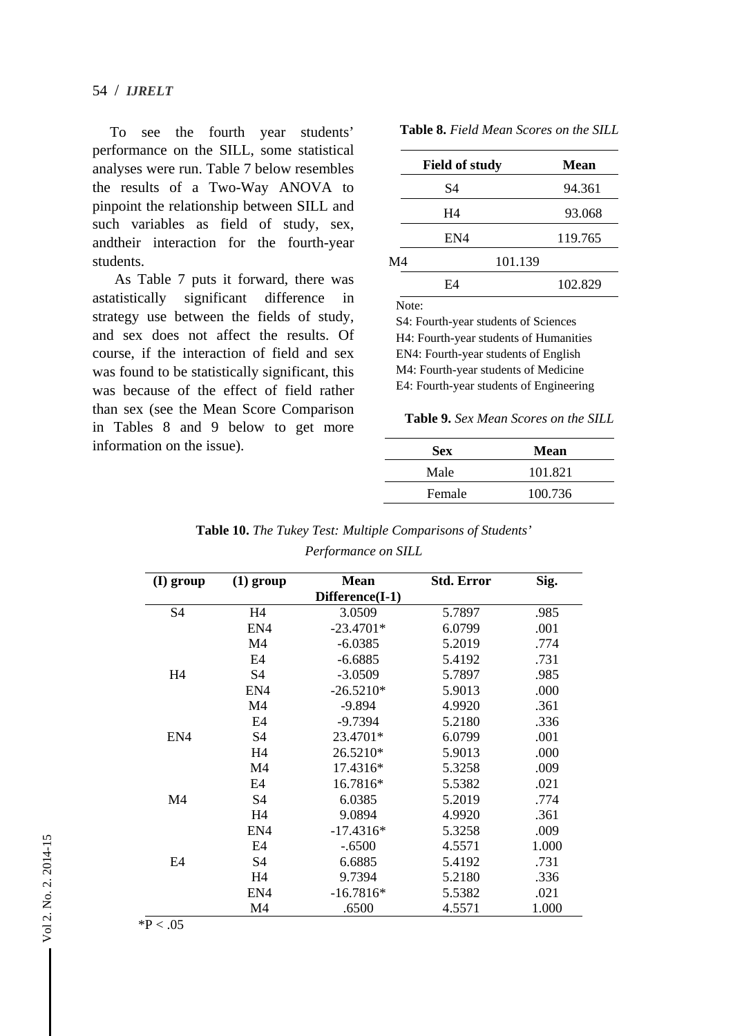54 / *IJRELT*

To see the fourth year students' performance on the SILL, some statistical analyses were run. Table 7 below resembles the results of a Two-Way ANOVA to pinpoint the relationship between SILL and such variables as field of study, sex, andtheir interaction for the fourth-year students.

As Table 7 puts it forward, there was astatistically significant difference in strategy use between the fields of study, and sex does not affect the results. Of course, if the interaction of field and sex was found to be statistically significant, this was because of the effect of field rather than sex (see the Mean Score Comparison in Tables 8 and 9 below to get more information on the issue).

| <b>Table 8.</b> Field Mean Scores on the SILL |  |  |  |  |  |  |
|-----------------------------------------------|--|--|--|--|--|--|
|-----------------------------------------------|--|--|--|--|--|--|

|    | <b>Field of study</b> | <b>Mean</b> |
|----|-----------------------|-------------|
|    | S4                    | 94.361      |
|    | H4                    | 93.068      |
|    | EN4                   | 119.765     |
| M4 |                       | 101.139     |
|    | F4                    | 102.829     |

Note:

S4: Fourth-year students of Sciences H4: Fourth-year students of Humanities EN4: Fourth-year students of English M4: Fourth-year students of Medicine E4: Fourth-year students of Engineering

**Table 9.** *Sex Mean Scores on the SILL*

| <b>Sex</b> | <b>Mean</b> |
|------------|-------------|
| Male       | 101.821     |
| Female     | 100.736     |

| <b>Table 10.</b> The Tukey Test: Multiple Comparisons of Students' |  |
|--------------------------------------------------------------------|--|
| Performance on SILL                                                |  |

| (I) group      | $(1)$ group    | <b>Mean</b>     | <b>Std. Error</b> | Sig.  |
|----------------|----------------|-----------------|-------------------|-------|
|                |                | Difference(I-1) |                   |       |
| S <sub>4</sub> | H4             | 3.0509          | 5.7897            | .985  |
|                | EN4            | $-23.4701*$     | 6.0799            | .001  |
|                | M4             | $-6.0385$       | 5.2019            | .774  |
|                | E <sub>4</sub> | $-6.6885$       | 5.4192            | .731  |
| H <sub>4</sub> | S4             | $-3.0509$       | 5.7897            | .985  |
|                | EN4            | $-26.5210*$     | 5.9013            | .000  |
|                | M <sub>4</sub> | -9.894          | 4.9920            | .361  |
|                | E <sub>4</sub> | $-9.7394$       | 5.2180            | .336  |
| EN4            | S4             | 23.4701*        | 6.0799            | .001  |
|                | H <sub>4</sub> | 26.5210*        | 5.9013            | .000  |
|                | M <sub>4</sub> | 17.4316*        | 5.3258            | .009  |
|                | E4             | 16.7816*        | 5.5382            | .021  |
| M <sub>4</sub> | S4             | 6.0385          | 5.2019            | .774  |
|                | H <sub>4</sub> | 9.0894          | 4.9920            | .361  |
|                | EN4            | $-17.4316*$     | 5.3258            | .009  |
|                | E <sub>4</sub> | $-.6500$        | 4.5571            | 1.000 |
| E <sub>4</sub> | S <sub>4</sub> | 6.6885          | 5.4192            | .731  |
|                | H <sub>4</sub> | 9.7394          | 5.2180            | .336  |
|                | EN4            | $-16.7816*$     | 5.5382            | .021  |
|                | M <sub>4</sub> | .6500           | 4.5571            | 1.000 |

 $*P < .05$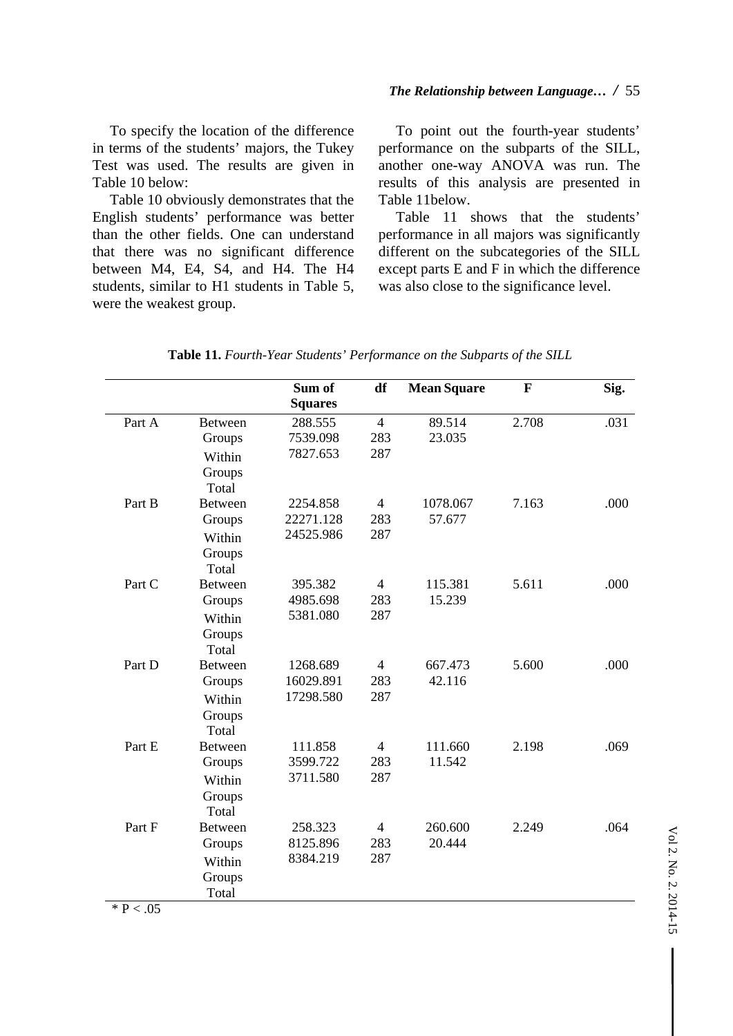#### *The Relationship between Language… /* 55

To specify the location of the difference in terms of the students' majors, the Tukey Test was used. The results are given in Table 10 below:

Table 10 obviously demonstrates that the English students' performance was better than the other fields. One can understand that there was no significant difference between M4, E4, S4, and H4. The H4 students, similar to H1 students in Table 5, were the weakest group.

To point out the fourth-year students' performance on the subparts of the SILL, another one-way ANOVA was run. The results of this analysis are presented in Table 11below.

Table 11 shows that the students' performance in all majors was significantly different on the subcategories of the SILL except parts E and F in which the difference was also close to the significance level.

|        |                | Sum of<br><b>Squares</b> | df             | <b>Mean Square</b> | $\mathbf{F}$ | Sig. |
|--------|----------------|--------------------------|----------------|--------------------|--------------|------|
| Part A | <b>Between</b> | 288.555                  | $\overline{4}$ | 89.514             | 2.708        | .031 |
|        | Groups         | 7539.098                 | 283            | 23.035             |              |      |
|        | Within         | 7827.653                 | 287            |                    |              |      |
|        | Groups         |                          |                |                    |              |      |
|        | Total          |                          |                |                    |              |      |
| Part B | <b>Between</b> | 2254.858                 | $\overline{4}$ | 1078.067           | 7.163        | .000 |
|        | Groups         | 22271.128                | 283            | 57.677             |              |      |
|        | Within         | 24525.986                | 287            |                    |              |      |
|        | Groups         |                          |                |                    |              |      |
|        | Total          |                          |                |                    |              |      |
| Part C | <b>Between</b> | 395.382                  | $\overline{4}$ | 115.381            | 5.611        | .000 |
|        | Groups         | 4985.698                 | 283            | 15.239             |              |      |
|        | Within         | 5381.080                 | 287            |                    |              |      |
|        | Groups         |                          |                |                    |              |      |
|        | Total          |                          |                |                    |              |      |
| Part D | <b>Between</b> | 1268.689                 | $\overline{4}$ | 667.473            | 5.600        | .000 |
|        | Groups         | 16029.891                | 283            | 42.116             |              |      |
|        | Within         | 17298.580                | 287            |                    |              |      |
|        | Groups         |                          |                |                    |              |      |
|        | Total          |                          |                |                    |              |      |
| Part E | <b>Between</b> | 111.858                  | $\overline{4}$ | 111.660            | 2.198        | .069 |
|        | Groups         | 3599.722                 | 283            | 11.542             |              |      |
|        | Within         | 3711.580                 | 287            |                    |              |      |
|        | Groups         |                          |                |                    |              |      |
|        | Total          |                          |                |                    |              |      |
| Part F | <b>Between</b> | 258.323                  | $\overline{4}$ | 260.600            | 2.249        | .064 |
|        | Groups         | 8125.896                 | 283            | 20.444             |              |      |
|        | Within         | 8384.219                 | 287            |                    |              |      |
|        | Groups         |                          |                |                    |              |      |
|        | Total          |                          |                |                    |              |      |

 $*$  P  $< .05$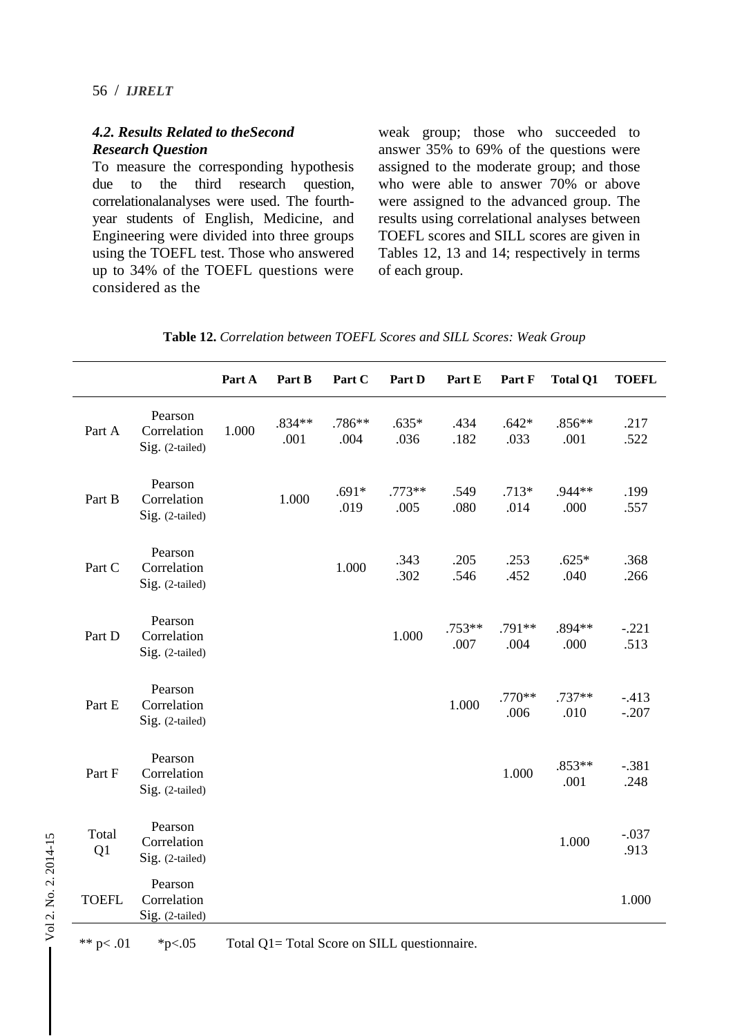#### *4.2. Results Related to theSecond Research Question*

To measure the corresponding hypothesis due to the third research question, correlationalanalyses were used. The fourthyear students of English, Medicine, and Engineering were divided into three groups using the TOEFL test. Those who answered up to 34% of the TOEFL questions were considered as the

weak group; those who succeeded to answer 35% to 69% of the questions were assigned to the moderate group; and those who were able to answer 70% or above were assigned to the advanced group. The results using correlational analyses between TOEFL scores and SILL scores are given in Tables 12, 13 and 14; respectively in terms of each group.

|              |                                           | Part A | Part B         | Part C          | Part D          | Part E         | Part F          | <b>Total Q1</b>  | <b>TOEFL</b>      |
|--------------|-------------------------------------------|--------|----------------|-----------------|-----------------|----------------|-----------------|------------------|-------------------|
| Part A       | Pearson<br>Correlation<br>Sig. (2-tailed) | 1.000  | .834**<br>.001 | .786**<br>.004  | $.635*$<br>.036 | .434<br>.182   | $.642*$<br>.033 | $.856**$<br>.001 | .217<br>.522      |
| Part B       | Pearson<br>Correlation<br>Sig. (2-tailed) |        | 1.000          | $.691*$<br>.019 | .773**<br>.005  | .549<br>.080   | $.713*$<br>.014 | .944**<br>.000   | .199<br>.557      |
| Part C       | Pearson<br>Correlation<br>Sig. (2-tailed) |        |                | 1.000           | .343<br>.302    | .205<br>.546   | .253<br>.452    | $.625*$<br>.040  | .368<br>.266      |
| Part D       | Pearson<br>Correlation<br>Sig. (2-tailed) |        |                |                 | 1.000           | .753**<br>.007 | .791**<br>.004  | .894**<br>.000   | $-.221$<br>.513   |
| Part E       | Pearson<br>Correlation<br>Sig. (2-tailed) |        |                |                 |                 | 1.000          | .770**<br>.006  | $.737**$<br>.010 | $-413$<br>$-.207$ |
| Part F       | Pearson<br>Correlation<br>Sig. (2-tailed) |        |                |                 |                 |                | 1.000           | .853**<br>.001   | $-.381$<br>.248   |
| Total<br>Q1  | Pearson<br>Correlation<br>Sig. (2-tailed) |        |                |                 |                 |                |                 | 1.000            | $-.037$<br>.913   |
| <b>TOEFL</b> | Pearson<br>Correlation<br>Sig. (2-tailed) |        |                |                 |                 |                |                 |                  | 1.000             |

|  | Table 12. Correlation between TOEFL Scores and SILL Scores: Weak Group |
|--|------------------------------------------------------------------------|
|--|------------------------------------------------------------------------|

\*\* p< .01 \*p<.05 Total Q1= Total Score on SILL questionnaire.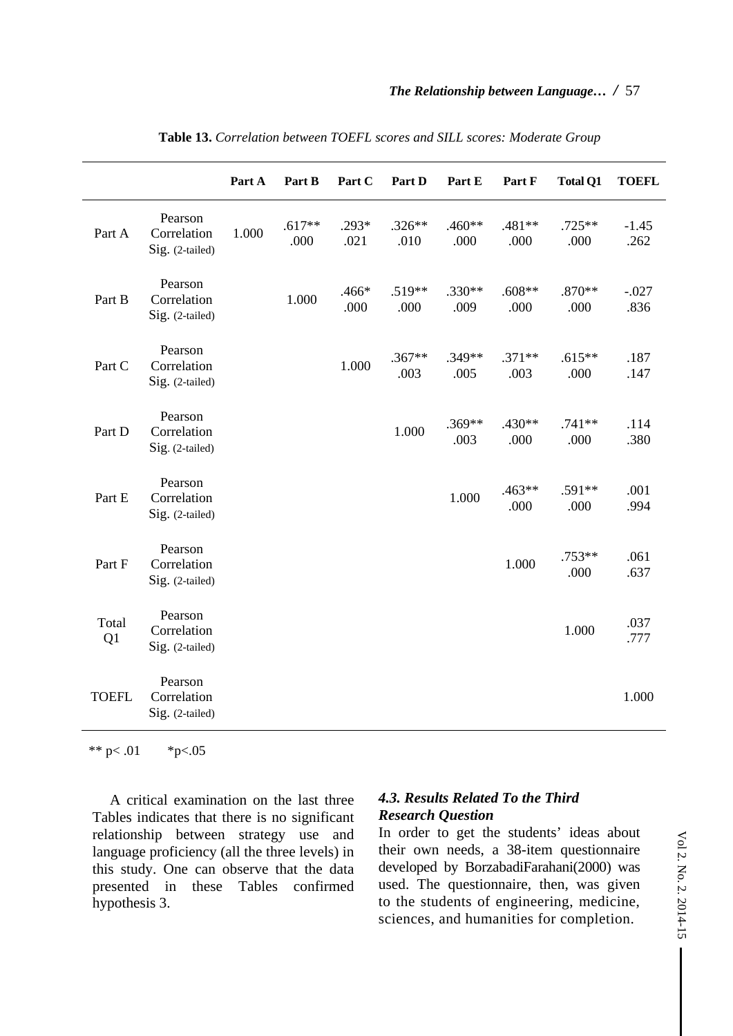|              |                                           | Part A | Part B           | Part C          | Part D           | Part E           | Part F           | <b>Total Q1</b>  | <b>TOEFL</b>    |
|--------------|-------------------------------------------|--------|------------------|-----------------|------------------|------------------|------------------|------------------|-----------------|
| Part A       | Pearson<br>Correlation<br>Sig. (2-tailed) | 1.000  | $.617**$<br>.000 | $.293*$<br>.021 | $.326**$<br>.010 | .460**<br>.000   | .481**<br>.000   | $.725**$<br>.000 | $-1.45$<br>.262 |
| Part B       | Pearson<br>Correlation<br>Sig. (2-tailed) |        | 1.000            | .466*<br>.000   | .519**<br>.000   | $.330**$<br>.009 | $.608**$<br>.000 | $.870**$<br>.000 | $-.027$<br>.836 |
| Part C       | Pearson<br>Correlation<br>Sig. (2-tailed) |        |                  | 1.000           | $.367**$<br>.003 | .349**<br>.005   | $.371**$<br>.003 | $.615**$<br>.000 | .187<br>.147    |
| Part D       | Pearson<br>Correlation<br>Sig. (2-tailed) |        |                  |                 | 1.000            | $.369**$<br>.003 | .430**<br>.000   | $.741**$<br>.000 | .114<br>.380    |
| Part E       | Pearson<br>Correlation<br>Sig. (2-tailed) |        |                  |                 |                  | 1.000            | .463**<br>.000   | .591**<br>.000   | .001<br>.994    |
| Part F       | Pearson<br>Correlation<br>Sig. (2-tailed) |        |                  |                 |                  |                  | 1.000            | $.753**$<br>.000 | .061<br>.637    |
| Total<br>Q1  | Pearson<br>Correlation<br>Sig. (2-tailed) |        |                  |                 |                  |                  |                  | 1.000            | .037<br>.777    |
| <b>TOEFL</b> | Pearson<br>Correlation<br>Sig. (2-tailed) |        |                  |                 |                  |                  |                  |                  | 1.000           |

**Table 13.** *Correlation between TOEFL scores and SILL scores: Moderate Group*

\*\* p $< .01$  \*p $< .05$ 

A critical examination on the last three Tables indicates that there is no significant relationship between strategy use and language proficiency (all the three levels) in this study. One can observe that the data presented in these Tables confirmed hypothesis 3.

#### *4.3. Results Related To the Third Research Question*

In order to get the students' ideas about their own needs, a 38-item questionnaire developed by BorzabadiFarahani(2000) was used. The questionnaire, then, was given to the students of engineering, medicine, sciences, and humanities for completion.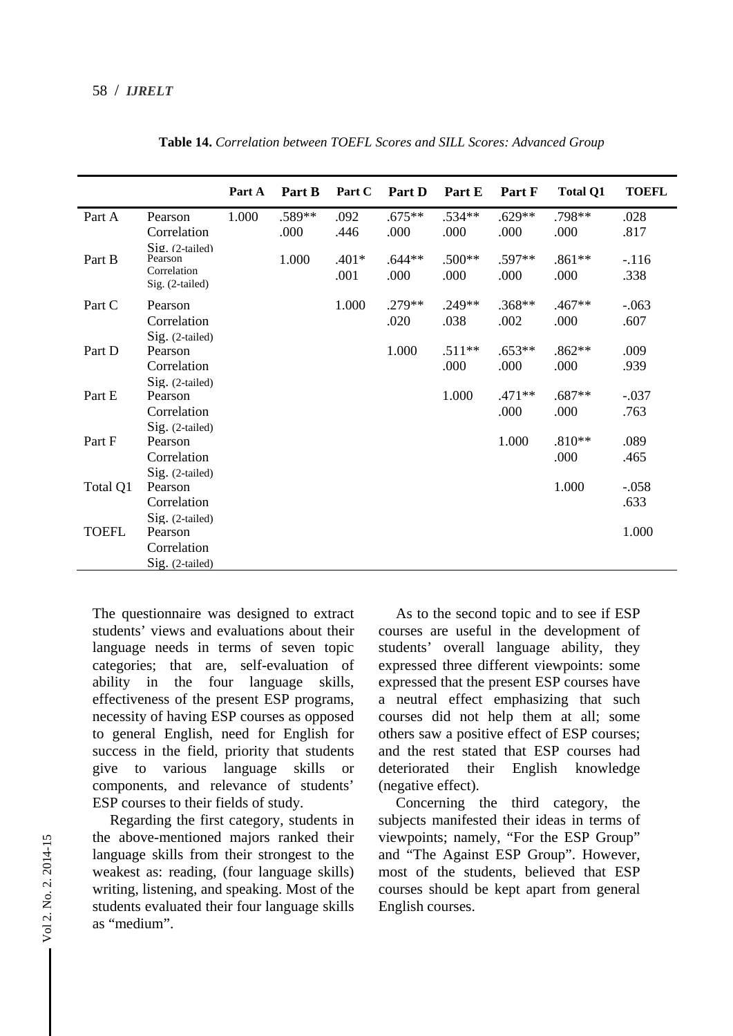|              |                                                              | Part A | Part B | Part C          | Part D           | Part E           | Part F         | <b>Total Q1</b>  | <b>TOEFL</b>    |
|--------------|--------------------------------------------------------------|--------|--------|-----------------|------------------|------------------|----------------|------------------|-----------------|
| Part A       | Pearson                                                      | 1.000  | .589** | .092            | $.675**$         | $.534**$         | $.629**$       | .798**           | .028            |
|              | Correlation                                                  |        | .000   | .446            | .000             | .000             | .000           | .000             | .817            |
| Part B       | Sig. (2-tailed)<br>Pearson<br>Correlation<br>Sig. (2-tailed) |        | 1.000  | $.401*$<br>.001 | $.644**$<br>.000 | $.500**$<br>.000 | .597**<br>.000 | $.861**$<br>.000 | $-.116$<br>.338 |
| Part C       | Pearson                                                      |        |        | 1.000           | .279**           | $.249**$         | .368**         | $.467**$         | $-.063$         |
|              | Correlation                                                  |        |        |                 | .020             | .038             | .002           | .000             | .607            |
|              | Sig. (2-tailed)                                              |        |        |                 |                  |                  |                |                  |                 |
| Part D       | Pearson                                                      |        |        |                 | 1.000            | $.511**$         | $.653**$       | $.862**$         | .009            |
|              | Correlation                                                  |        |        |                 |                  | .000             | .000           | .000             | .939            |
|              | $Sig.$ (2-tailed)                                            |        |        |                 |                  |                  |                |                  |                 |
| Part E       | Pearson                                                      |        |        |                 |                  | 1.000            | .471**         | $.687**$         | $-.037$         |
|              | Correlation                                                  |        |        |                 |                  |                  | .000           | .000             | .763            |
|              | Sig. (2-tailed)                                              |        |        |                 |                  |                  |                |                  |                 |
| Part F       | Pearson                                                      |        |        |                 |                  |                  | 1.000          | $.810**$         | .089            |
|              | Correlation                                                  |        |        |                 |                  |                  |                | .000             | .465            |
|              | Sig. (2-tailed)                                              |        |        |                 |                  |                  |                |                  |                 |
| Total Q1     | Pearson                                                      |        |        |                 |                  |                  |                | 1.000            | $-.058$         |
|              | Correlation                                                  |        |        |                 |                  |                  |                |                  | .633            |
|              | $Sig.$ (2-tailed)                                            |        |        |                 |                  |                  |                |                  |                 |
| <b>TOEFL</b> | Pearson                                                      |        |        |                 |                  |                  |                |                  | 1.000           |
|              | Correlation                                                  |        |        |                 |                  |                  |                |                  |                 |
|              | Sig. (2-tailed)                                              |        |        |                 |                  |                  |                |                  |                 |

**Table 14.** *Correlation between TOEFL Scores and SILL Scores: Advanced Group*

The questionnaire was designed to extract students' views and evaluations about their language needs in terms of seven topic categories; that are, self-evaluation of ability in the four language skills, effectiveness of the present ESP programs, necessity of having ESP courses as opposed to general English, need for English for success in the field, priority that students give to various language skills or components, and relevance of students' ESP courses to their fields of study.

Regarding the first category, students in the above-mentioned majors ranked their language skills from their strongest to the weakest as: reading, (four language skills) writing, listening, and speaking. Most of the students evaluated their four language skills as "medium".

As to the second topic and to see if ESP courses are useful in the development of students' overall language ability, they expressed three different viewpoints: some expressed that the present ESP courses have a neutral effect emphasizing that such courses did not help them at all; some others saw a positive effect of ESP courses; and the rest stated that ESP courses had deteriorated their English knowledge (negative effect).

Concerning the third category, the subjects manifested their ideas in terms of viewpoints; namely, "For the ESP Group" and "The Against ESP Group". However, most of the students, believed that ESP courses should be kept apart from general English courses.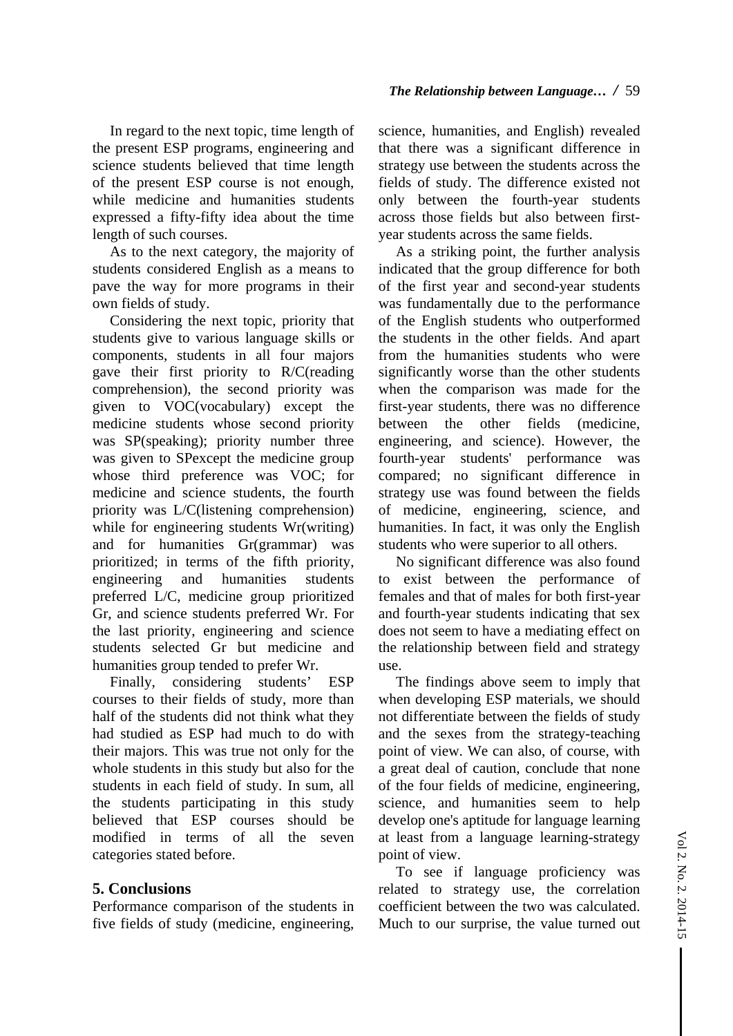In regard to the next topic, time length of the present ESP programs, engineering and science students believed that time length of the present ESP course is not enough, while medicine and humanities students expressed a fifty-fifty idea about the time length of such courses.

As to the next category, the majority of students considered English as a means to pave the way for more programs in their own fields of study.

Considering the next topic, priority that students give to various language skills or components, students in all four majors gave their first priority to R/C(reading comprehension), the second priority was given to VOC(vocabulary) except the medicine students whose second priority was SP(speaking); priority number three was given to SPexcept the medicine group whose third preference was VOC; for medicine and science students, the fourth priority was L/C(listening comprehension) while for engineering students Wr(writing) and for humanities Gr(grammar) was prioritized; in terms of the fifth priority, engineering and humanities students preferred L/C, medicine group prioritized Gr, and science students preferred Wr. For the last priority, engineering and science students selected Gr but medicine and humanities group tended to prefer Wr.

Finally, considering students' ESP courses to their fields of study, more than half of the students did not think what they had studied as ESP had much to do with their majors. This was true not only for the whole students in this study but also for the students in each field of study. In sum, all the students participating in this study believed that ESP courses should be modified in terms of all the seven categories stated before.

## **5. Conclusions**

Performance comparison of the students in five fields of study (medicine, engineering,

science, humanities, and English) revealed that there was a significant difference in strategy use between the students across the fields of study. The difference existed not only between the fourth-year students across those fields but also between firstyear students across the same fields.

As a striking point, the further analysis indicated that the group difference for both of the first year and second-year students was fundamentally due to the performance of the English students who outperformed the students in the other fields. And apart from the humanities students who were significantly worse than the other students when the comparison was made for the first-year students, there was no difference between the other fields (medicine, engineering, and science). However, the fourth-year students' performance was compared; no significant difference in strategy use was found between the fields of medicine, engineering, science, and humanities. In fact, it was only the English students who were superior to all others.

No significant difference was also found to exist between the performance of females and that of males for both first-year and fourth-year students indicating that sex does not seem to have a mediating effect on the relationship between field and strategy use.

The findings above seem to imply that when developing ESP materials, we should not differentiate between the fields of study and the sexes from the strategy-teaching point of view. We can also, of course, with a great deal of caution, conclude that none of the four fields of medicine, engineering, science, and humanities seem to help develop one's aptitude for language learning at least from a language learning-strategy point of view.

To see if language proficiency was related to strategy use, the correlation coefficient between the two was calculated. Much to our surprise, the value turned out

 $\mathbf{I}$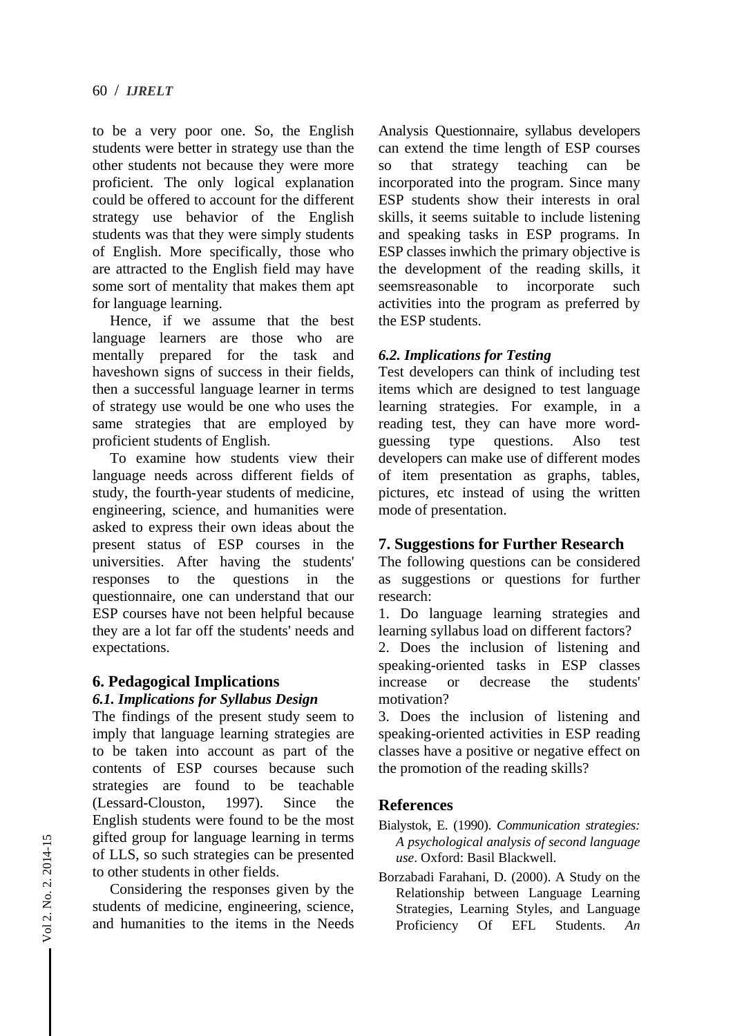to be a very poor one. So, the English students were better in strategy use than the other students not because they were more proficient. The only logical explanation could be offered to account for the different strategy use behavior of the English students was that they were simply students of English. More specifically, those who are attracted to the English field may have some sort of mentality that makes them apt for language learning.

Hence, if we assume that the best language learners are those who are mentally prepared for the task and haveshown signs of success in their fields, then a successful language learner in terms of strategy use would be one who uses the same strategies that are employed by proficient students of English.

To examine how students view their language needs across different fields of study, the fourth-year students of medicine, engineering, science, and humanities were asked to express their own ideas about the present status of ESP courses in the universities. After having the students' responses to the questions in the questionnaire, one can understand that our ESP courses have not been helpful because they are a lot far off the students' needs and expectations.

#### **6. Pedagogical Implications**  *6.1. Implications for Syllabus Design*

The findings of the present study seem to imply that language learning strategies are to be taken into account as part of the contents of ESP courses because such strategies are found to be teachable (Lessard-Clouston, 1997). Since the English students were found to be the most gifted group for language learning in terms of LLS, so such strategies can be presented to other students in other fields.

Considering the responses given by the students of medicine, engineering, science, and humanities to the items in the Needs

Analysis Questionnaire, syllabus developers can extend the time length of ESP courses so that strategy teaching can be incorporated into the program. Since many ESP students show their interests in oral skills, it seems suitable to include listening and speaking tasks in ESP programs. In ESP classes inwhich the primary objective is the development of the reading skills, it seemsreasonable to incorporate such activities into the program as preferred by the ESP students.

## *6.2. Implications for Testing*

Test developers can think of including test items which are designed to test language learning strategies. For example, in a reading test, they can have more wordguessing type questions. Also test developers can make use of different modes of item presentation as graphs, tables, pictures, etc instead of using the written mode of presentation.

## **7. Suggestions for Further Research**

The following questions can be considered as suggestions or questions for further research:

1. Do language learning strategies and learning syllabus load on different factors?

2. Does the inclusion of listening and speaking-oriented tasks in ESP classes increase or decrease the students' motivation?

3. Does the inclusion of listening and speaking-oriented activities in ESP reading classes have a positive or negative effect on the promotion of the reading skills?

# **References**

- Bialystok, E. (1990). *Communication strategies: A psychological analysis of second language use*. Oxford: Basil Blackwell.
- Borzabadi Farahani, D. (2000). A Study on the Relationship between Language Learning Strategies, Learning Styles, and Language Proficiency Of EFL Students. *An*